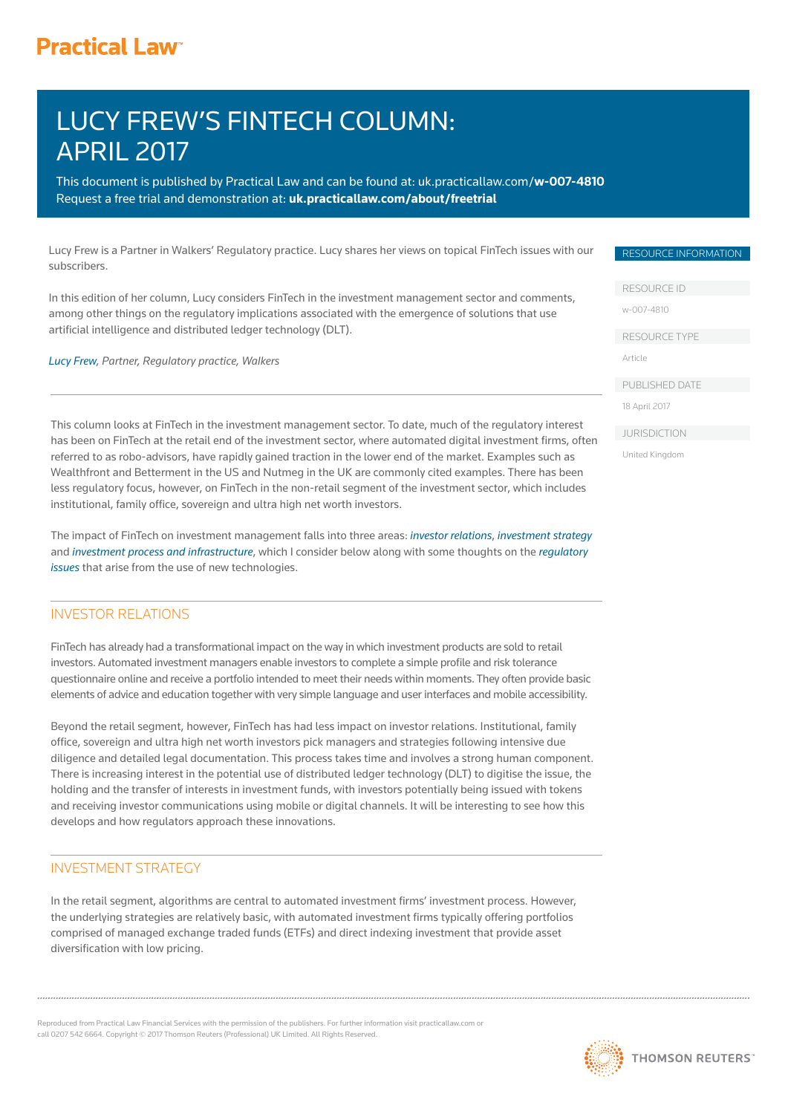# **Practical Law<sup>®</sup>**

# LUCY FREW'S FINTECH COLUMN: APRIL 2017

This document is published by Practical Law and can be found a[t: uk.practicallaw.com/](uk.practicallaw.com/w-007-4810)**w-007-4810** Request a free trial and demonstration at: **<uk.practicallaw.com/about/freetrial>**

Lucy Frew is a Partner in Walkers' Regulatory practice. Lucy shares her views on topical FinTech issues with our subscribers.

In this edition of her column, Lucy considers FinTech in the investment management sector and comments, among other things on the regulatory implications associated with the emergence of solutions that use artificial intelligence and distributed ledger technology (DLT).

*[Lucy Frew, Pa](http://www.walkersglobal.com/index.php/component/people/professional/310)rtner, Regulatory practice, Walkers*

This column looks at FinTech in the investment management sector. To date, much of the regulatory interest has been on FinTech at the retail end of the investment sector, where automated digital investment firms, often referred to as robo-advisors, have rapidly gained traction in the lower end of the market. Examples such as Wealthfront and Betterment in the US and Nutmeg in the UK are commonly cited examples. There has been less regulatory focus, however, on FinTech in the non-retail segment of the investment sector, which includes institutional, family office, sovereign and ultra high net worth investors.

The impact of FinTech on investment management falls into three areas: *[investor relations](https://uk.practicallaw.thomsonreuters.com/Document/I8bbaa6941b6d11e798dc8b09b4f043e0/View/FullText.html?transitionType=SearchItem&contextData=(sc.DocLink)&firstPage=true&OWSessionId=2581c25691eb49cda7febff52a6d10e3&skipAnonymous=true#co_anchor_a476285)*, *[investment strategy](https://uk.practicallaw.thomsonreuters.com/Document/I8bbaa6941b6d11e798dc8b09b4f043e0/View/FullText.html?transitionType=SearchItem&contextData=(sc.DocLink)&firstPage=true#co_anchor_a136362)*  and *[investment process and infrastructure](https://uk.practicallaw.thomsonreuters.com/Document/I8bbaa6941b6d11e798dc8b09b4f043e0/View/FullText.html?transitionType=SearchItem&contextData=(sc.DocLink)&firstPage=true#co_anchor_a103821)*, which I consider below along with some thoughts on the *[regulatory](https://uk.practicallaw.thomsonreuters.com/Document/I8bbaa6941b6d11e798dc8b09b4f043e0/View/FullText.html?transitionType=SearchItem&contextData=(sc.DocLink)&firstPage=true#co_anchor_a898575)  [issues](https://uk.practicallaw.thomsonreuters.com/Document/I8bbaa6941b6d11e798dc8b09b4f043e0/View/FullText.html?transitionType=SearchItem&contextData=(sc.DocLink)&firstPage=true#co_anchor_a898575)* that arise from the use of new technologies.

### INVESTOR RELATIONS

FinTech has already had a transformational impact on the way in which investment products are sold to retail investors. Automated investment managers enable investors to complete a simple profile and risk tolerance questionnaire online and receive a portfolio intended to meet their needs within moments. They often provide basic elements of advice and education together with very simple language and user interfaces and mobile accessibility.

Beyond the retail segment, however, FinTech has had less impact on investor relations. Institutional, family office, sovereign and ultra high net worth investors pick managers and strategies following intensive due diligence and detailed legal documentation. This process takes time and involves a strong human component. There is increasing interest in the potential use of distributed ledger technology (DLT) to digitise the issue, the holding and the transfer of interests in investment funds, with investors potentially being issued with tokens and receiving investor communications using mobile or digital channels. It will be interesting to see how this develops and how regulators approach these innovations.

### INVESTMENT STRATEGY

In the retail segment, algorithms are central to automated investment firms' investment process. However, the underlying strategies are relatively basic, with automated investment firms typically offering portfolios comprised of managed exchange traded funds (ETFs) and direct indexing investment that provide asset diversification with low pricing.

oduced from Practical Law Financial Services with the permission of the publishers. For further information visit practicallaw.com or call 0207 542 6664. Copyright © 2017 Thomson Reuters (Professional) UK Limited. All Rights Reserved.

#### RESOURCE INFORMATION

RESOURCE ID

[w-007-4810](uk.practicallaw.com/w-007-4810) 

RESOURCE TYPE

Article

PUBLISHED DATE

18 April 2017

**JURISDICTION** 

United Kingdom

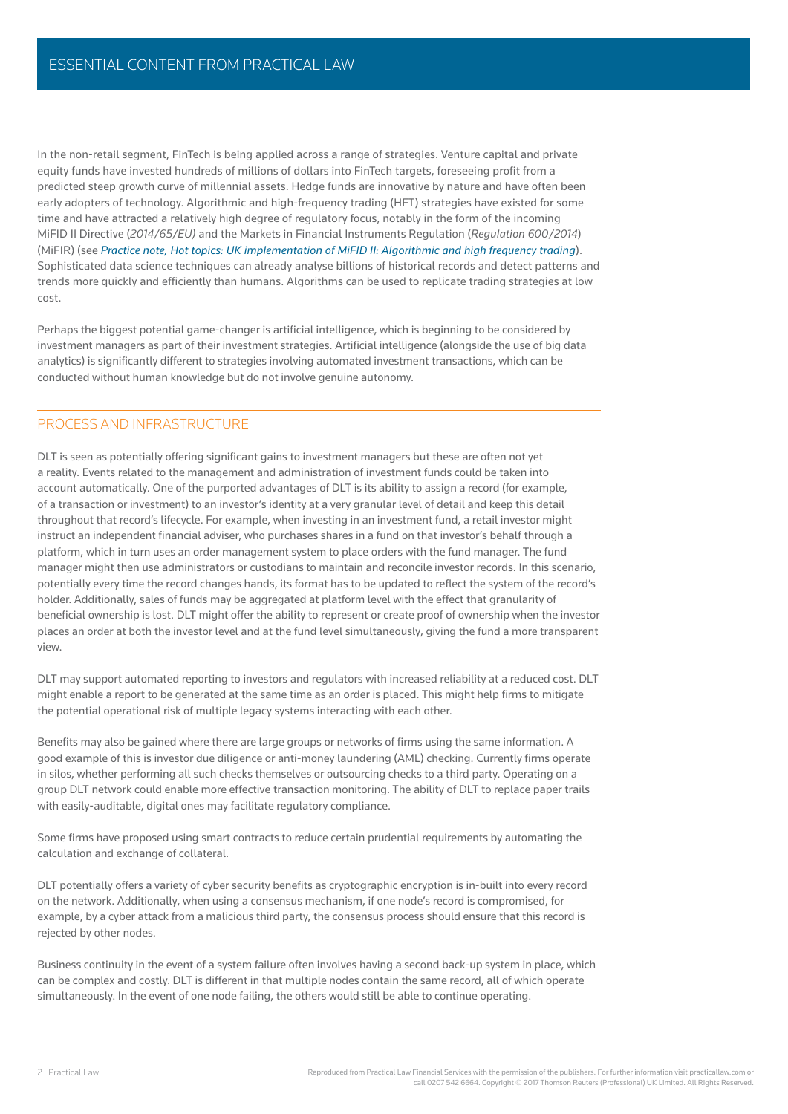In the non-retail segment, FinTech is being applied across a range of strategies. Venture capital and private equity funds have invested hundreds of millions of dollars into FinTech targets, foreseeing profit from a predicted steep growth curve of millennial assets. Hedge funds are innovative by nature and have often been early adopters of technology. Algorithmic and high-frequency trading (HFT) strategies have existed for some time and have attracted a relatively high degree of regulatory focus, notably in the form of the incoming MiFID II Directive (*2014/65/EU)* and the Markets in Financial Instruments Regulation (*Regulation 600/2014*) (MiFIR) (see *[Practice note, Hot topics: UK implementation of MiFID II: Algorithmic and high frequency trading](https://uk.practicallaw.thomsonreuters.com/9-621-6810?originationContext=document&transitionType=DocumentItem&contextData=(sc.Default)#co_anchor_a215904)*). Sophisticated data science techniques can already analyse billions of historical records and detect patterns and trends more quickly and efficiently than humans. Algorithms can be used to replicate trading strategies at low cost.

Perhaps the biggest potential game-changer is artificial intelligence, which is beginning to be considered by investment managers as part of their investment strategies. Artificial intelligence (alongside the use of big data analytics) is significantly different to strategies involving automated investment transactions, which can be conducted without human knowledge but do not involve genuine autonomy.

#### PROCESS AND INFRASTRUCTURE

DLT is seen as potentially offering significant gains to investment managers but these are often not yet a reality. Events related to the management and administration of investment funds could be taken into account automatically. One of the purported advantages of DLT is its ability to assign a record (for example, of a transaction or investment) to an investor's identity at a very granular level of detail and keep this detail throughout that record's lifecycle. For example, when investing in an investment fund, a retail investor might instruct an independent financial adviser, who purchases shares in a fund on that investor's behalf through a platform, which in turn uses an order management system to place orders with the fund manager. The fund manager might then use administrators or custodians to maintain and reconcile investor records. In this scenario, potentially every time the record changes hands, its format has to be updated to reflect the system of the record's holder. Additionally, sales of funds may be aggregated at platform level with the effect that granularity of beneficial ownership is lost. DLT might offer the ability to represent or create proof of ownership when the investor places an order at both the investor level and at the fund level simultaneously, giving the fund a more transparent view.

DLT may support automated reporting to investors and regulators with increased reliability at a reduced cost. DLT might enable a report to be generated at the same time as an order is placed. This might help firms to mitigate the potential operational risk of multiple legacy systems interacting with each other.

Benefits may also be gained where there are large groups or networks of firms using the same information. A good example of this is investor due diligence or anti-money laundering (AML) checking. Currently firms operate in silos, whether performing all such checks themselves or outsourcing checks to a third party. Operating on a group DLT network could enable more effective transaction monitoring. The ability of DLT to replace paper trails with easily-auditable, digital ones may facilitate regulatory compliance.

Some firms have proposed using smart contracts to reduce certain prudential requirements by automating the calculation and exchange of collateral.

DLT potentially offers a variety of cyber security benefits as cryptographic encryption is in-built into every record on the network. Additionally, when using a consensus mechanism, if one node's record is compromised, for example, by a cyber attack from a malicious third party, the consensus process should ensure that this record is rejected by other nodes.

Business continuity in the event of a system failure often involves having a second back-up system in place, which can be complex and costly. DLT is different in that multiple nodes contain the same record, all of which operate simultaneously. In the event of one node failing, the others would still be able to continue operating.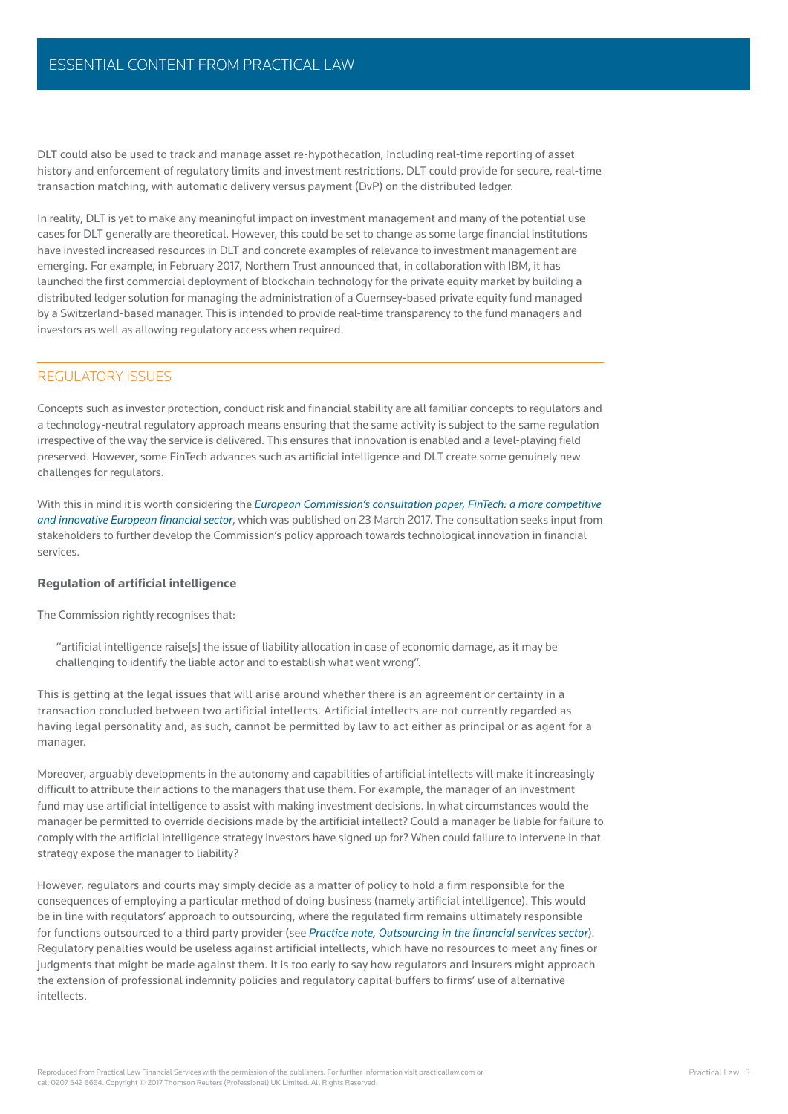DLT could also be used to track and manage asset re-hypothecation, including real-time reporting of asset history and enforcement of regulatory limits and investment restrictions. DLT could provide for secure, real-time transaction matching, with automatic delivery versus payment (DvP) on the distributed ledger.

In reality, DLT is yet to make any meaningful impact on investment management and many of the potential use cases for DLT generally are theoretical. However, this could be set to change as some large financial institutions have invested increased resources in DLT and concrete examples of relevance to investment management are emerging. For example, in February 2017, Northern Trust announced that, in collaboration with IBM, it has launched the first commercial deployment of blockchain technology for the private equity market by building a distributed ledger solution for managing the administration of a Guernsey-based private equity fund managed by a Switzerland-based manager. This is intended to provide real-time transparency to the fund managers and investors as well as allowing regulatory access when required.

#### REGULATORY ISSUES

Concepts such as investor protection, conduct risk and financial stability are all familiar concepts to regulators and a technology-neutral regulatory approach means ensuring that the same activity is subject to the same regulation irrespective of the way the service is delivered. This ensures that innovation is enabled and a level-playing field preserved. However, some FinTech advances such as artifi cial intelligence and DLT create some genuinely new challenges for regulators.

With this in mind it is worth considering the *[European Commission's consultation paper, FinTech: a more competitive](https://ec.europa.eu/info/sites/info/files/2017-fintech-consultation-document_en_0.pdf)*  and innovative European financial sector, which was published on 23 March 2017. The consultation seeks input from stakeholders to further develop the Commission's policy approach towards technological innovation in financial services.

# **Regulation of artifi cial intelligence**

The Commission rightly recognises that:

"artificial intelligence raise[s] the issue of liability allocation in case of economic damage, as it may be challenging to identify the liable actor and to establish what went wrong".

This is getting at the legal issues that will arise around whether there is an agreement or certainty in a transaction concluded between two artificial intellects. Artificial intellects are not currently regarded as having legal personality and, as such, cannot be permitted by law to act either as principal or as agent for a manager.

Moreover, arguably developments in the autonomy and capabilities of artificial intellects will make it increasingly difficult to attribute their actions to the managers that use them. For example, the manager of an investment fund may use artificial intelligence to assist with making investment decisions. In what circumstances would the manager be permitted to override decisions made by the artificial intellect? Could a manager be liable for failure to comply with the artificial intelligence strategy investors have signed up for? When could failure to intervene in that strategy expose the manager to liability?

However, regulators and courts may simply decide as a matter of policy to hold a firm responsible for the consequences of employing a particular method of doing business (namely artificial intelligence). This would be in line with regulators' approach to outsourcing, where the regulated firm remains ultimately responsible for functions outsourced to a third party provider (see Practice note, Outsourcing in the financial services sector). Regulatory penalties would be useless against artificial intellects, which have no resources to meet any fines or judgments that might be made against them. It is too early to say how regulators and insurers might approach the extension of professional indemnity policies and regulatory capital buffers to firms' use of alternative intellects.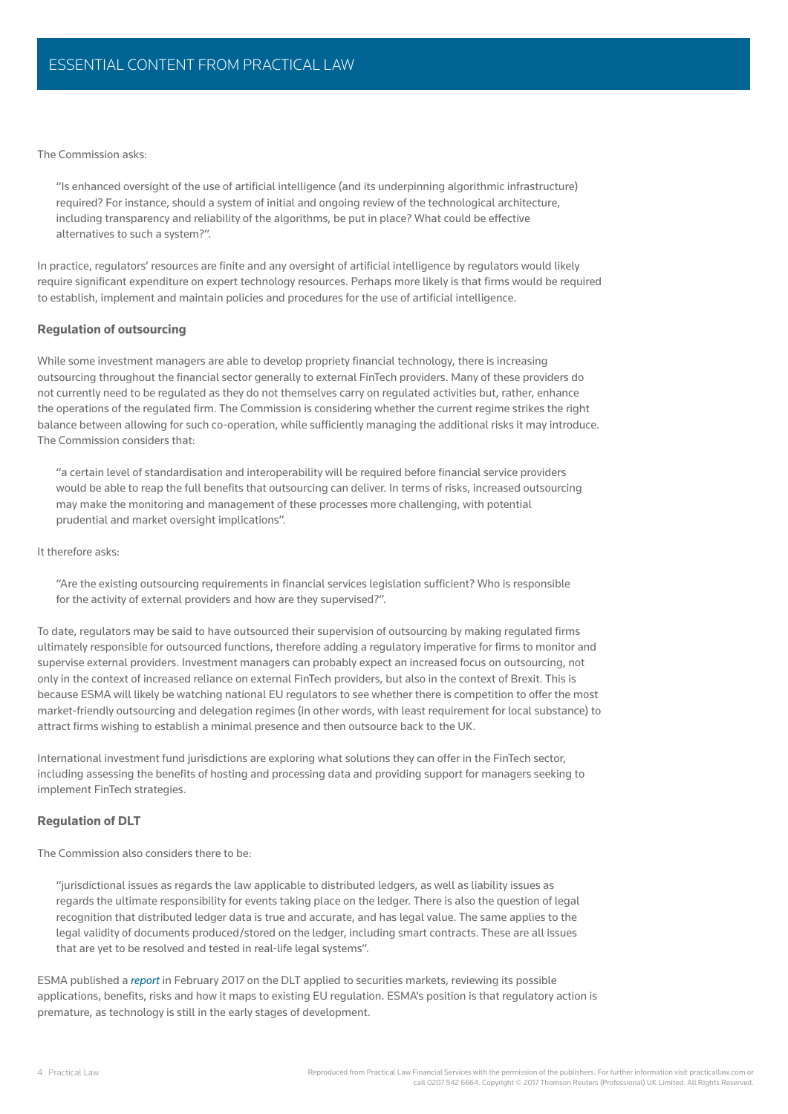The Commission asks:

"Is enhanced oversight of the use of artificial intelligence (and its underpinning algorithmic infrastructure) required? For instance, should a system of initial and ongoing review of the technological architecture, including transparency and reliability of the algorithms, be put in place? What could be effective alternatives to such a system?".

In practice, regulators' resources are finite and any oversight of artificial intelligence by regulators would likely require significant expenditure on expert technology resources. Perhaps more likely is that firms would be required to establish, implement and maintain policies and procedures for the use of artificial intelligence.

## **Regulation of outsourcing**

While some investment managers are able to develop propriety financial technology, there is increasing outsourcing throughout the financial sector generally to external FinTech providers. Many of these providers do not currently need to be regulated as they do not themselves carry on regulated activities but, rather, enhance the operations of the regulated firm. The Commission is considering whether the current regime strikes the right balance between allowing for such co-operation, while sufficiently managing the additional risks it may introduce. The Commission considers that:

"a certain level of standardisation and interoperability will be required before financial service providers would be able to reap the full benefits that outsourcing can deliver. In terms of risks, increased outsourcing may make the monitoring and management of these processes more challenging, with potential prudential and market oversight implications".

It therefore asks:

"Are the existing outsourcing requirements in financial services legislation sufficient? Who is responsible for the activity of external providers and how are they supervised?".

To date, regulators may be said to have outsourced their supervision of outsourcing by making regulated firms ultimately responsible for outsourced functions, therefore adding a regulatory imperative for firms to monitor and supervise external providers. Investment managers can probably expect an increased focus on outsourcing, not only in the context of increased reliance on external FinTech providers, but also in the context of Brexit. This is because ESMA will likely be watching national EU regulators to see whether there is competition to offer the most market-friendly outsourcing and delegation regimes (in other words, with least requirement for local substance) to attract firms wishing to establish a minimal presence and then outsource back to the UK.

International investment fund jurisdictions are exploring what solutions they can offer in the FinTech sector, including assessing the benefits of hosting and processing data and providing support for managers seeking to implement FinTech strategies.

## **Regulation of DLT**

The Commission also considers there to be:

"jurisdictional issues as regards the law applicable to distributed ledgers, as well as liability issues as regards the ultimate responsibility for events taking place on the ledger. There is also the question of legal recognition that distributed ledger data is true and accurate, and has legal value. The same applies to the legal validity of documents produced/stored on the ledger, including smart contracts. These are all issues that are yet to be resolved and tested in real-life legal systems".

ESMA published a *[report](https://uk.practicallaw.thomsonreuters.com/w-005-8674?originationContext=document&transitionType=DocumentItem&contextData=(sc.Default))* in February 2017 on the DLT applied to securities markets, reviewing its possible applications, benefits, risks and how it maps to existing EU regulation. ESMA's position is that regulatory action is premature, as technology is still in the early stages of development.